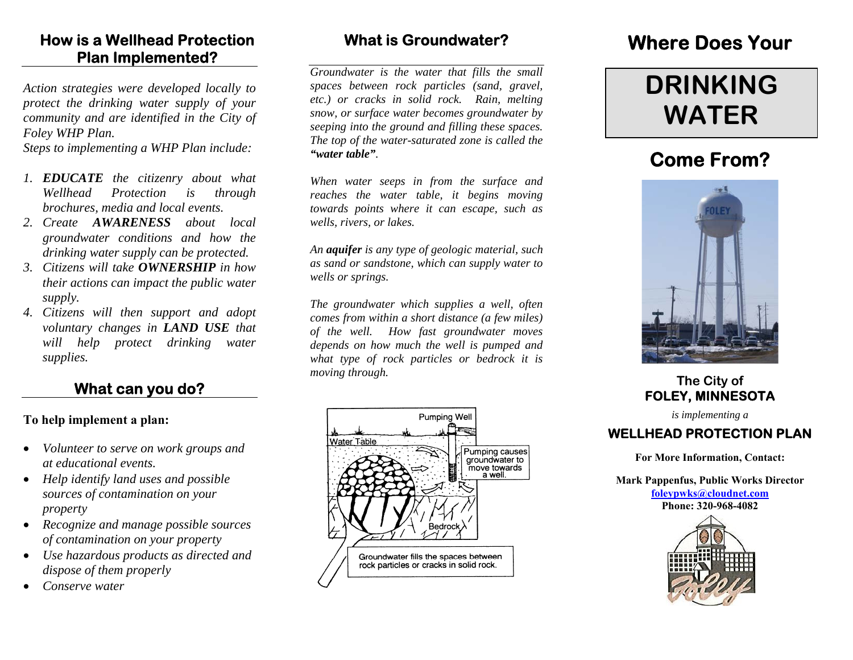### **How is a Wellhead Protection Plan Implemented?**

*Action strategies were developed locally to protect the drinking water supply of your community and are identified in the City of Foley WHP Plan.* 

*Steps to implementing a WHP Plan include:* 

- *1. EDUCATE the citizenry about what Wellhead Protection is through brochures, media and local events.*
- *2. Create AWARENESS about local groundwater conditions and how the drinking water supply can be protected.*
- *3. Citizens will take OWNERSHIP in how their actions can impact the public water supply.*
- *4. Citizens will then support and adopt voluntary changes in LAND USE that will help protect drinking water supplies.*

#### **What can you do?**

#### **To help implement a plan:**

- • *Volunteer to serve on work groups and at educational events.*
- • *Help identify land uses and possible sources of contamination on your property*
- *Recognize and manage possible sources of contamination on your property*
- *Use hazardous products as directed and dispose of them properly*
- •*Conserve water*

### **What is Groundwater?**

*Groundwater is the water that fills the small spaces between rock particles (sand, gravel, etc.) or cracks in solid rock. Rain, melting snow, or surface water becomes groundwater by seeping into the ground and filling these spaces. The top of the water-saturated zone is called the "water table".* 

*When water seeps in from the surface and reaches the water table, it begins moving towards points where it can escape, such as wells, rivers, or lakes.* 

*An aquifer is any type of geologic material, such as sand or sandstone, which can supply water to wells or springs.* 

*The groundwater which supplies a well, often comes from within a short distance (a few miles) of the well. How fast groundwater moves depends on how much the well is pumped and what type of rock particles or bedrock it is moving through.* 



## **Where Does Your**

# **DRINKING WATER**

## **Come From?**



#### **The City of FOLEY, MINNESOTA**

*is implementing a* 

#### **WELLHEAD PROTECTION PLAN**

**For More Information, Contact:** 

**Mark Pappenfus, Public Works Director foleypwks@cloudnet.com Phone: 320-968-4082**